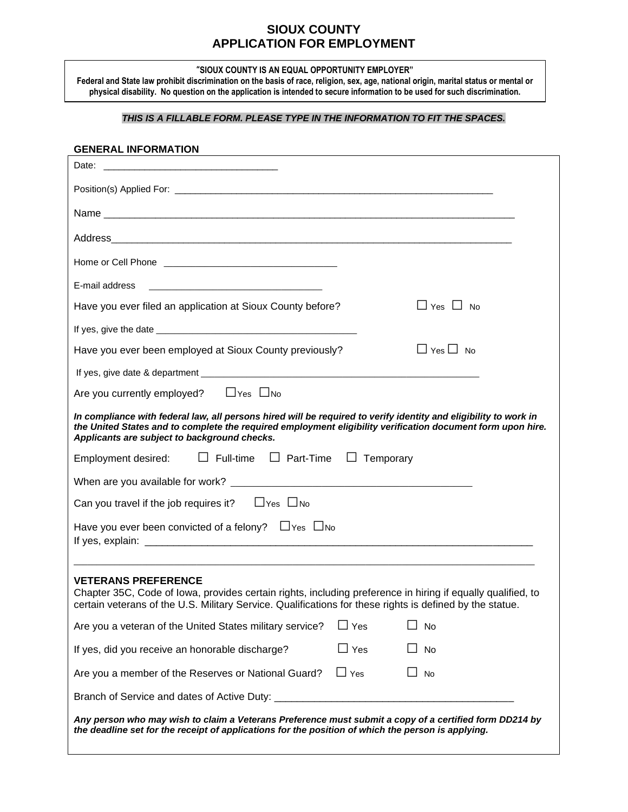# **SIOUX COUNTY APPLICATION FOR EMPLOYMENT**

**"SIOUX COUNTY IS AN EQUAL OPPORTUNITY EMPLOYER"**

**Federal and State law prohibit discrimination on the basis of race, religion, sex, age, national origin, marital status or mental or physical disability. No question on the application is intended to secure information to be used for such discrimination.**

## *THIS IS A FILLABLE FORM. PLEASE TYPE IN THE INFORMATION TO FIT THE SPACES.*

### **GENERAL INFORMATION**

| Date:<br><u> 1980 - Johann John Stone, markin film yn y brening yn y brening yn y brening yn y brening yn y brening yn y b</u>                                                                                                                                                  |                  |                      |  |
|---------------------------------------------------------------------------------------------------------------------------------------------------------------------------------------------------------------------------------------------------------------------------------|------------------|----------------------|--|
|                                                                                                                                                                                                                                                                                 |                  |                      |  |
|                                                                                                                                                                                                                                                                                 |                  |                      |  |
|                                                                                                                                                                                                                                                                                 |                  |                      |  |
|                                                                                                                                                                                                                                                                                 |                  |                      |  |
| E-mail address<br>the control of the control of the control of the control of the control of the control of                                                                                                                                                                     |                  |                      |  |
| Have you ever filed an application at Sioux County before?                                                                                                                                                                                                                      |                  | $\Box$ Yes $\Box$ No |  |
|                                                                                                                                                                                                                                                                                 |                  |                      |  |
| Have you ever been employed at Sioux County previously?                                                                                                                                                                                                                         |                  | $\Box$ Yes $\Box$ No |  |
|                                                                                                                                                                                                                                                                                 |                  |                      |  |
| Are you currently employed? $\Box$ Yes $\Box$ No                                                                                                                                                                                                                                |                  |                      |  |
| In compliance with federal law, all persons hired will be required to verify identity and eligibility to work in<br>the United States and to complete the required employment eligibility verification document form upon hire.<br>Applicants are subject to background checks. |                  |                      |  |
| $\Box$ Full-time $\Box$ Part-Time<br>Employment desired:                                                                                                                                                                                                                        | $\Box$ Temporary |                      |  |
|                                                                                                                                                                                                                                                                                 |                  |                      |  |
| Can you travel if the job requires it? $\Box$ Yes $\Box$ No                                                                                                                                                                                                                     |                  |                      |  |
| Have you ever been convicted of a felony? $\Box$ Yes $\Box$ No                                                                                                                                                                                                                  |                  |                      |  |
| <b>VETERANS PREFERENCE</b><br>Chapter 35C, Code of Iowa, provides certain rights, including preference in hiring if equally qualified, to<br>certain veterans of the U.S. Military Service. Qualifications for these rights is defined by the statue.                           |                  |                      |  |
| Are you a veteran of the United States military service?                                                                                                                                                                                                                        | Yes              | No                   |  |
| If yes, did you receive an honorable discharge?                                                                                                                                                                                                                                 | $\square$ Yes    | No                   |  |
|                                                                                                                                                                                                                                                                                 |                  |                      |  |
| Are you a member of the Reserves or National Guard?                                                                                                                                                                                                                             | $\Box$ Yes       | No                   |  |
| Branch of Service and dates of Active Duty: _________                                                                                                                                                                                                                           |                  |                      |  |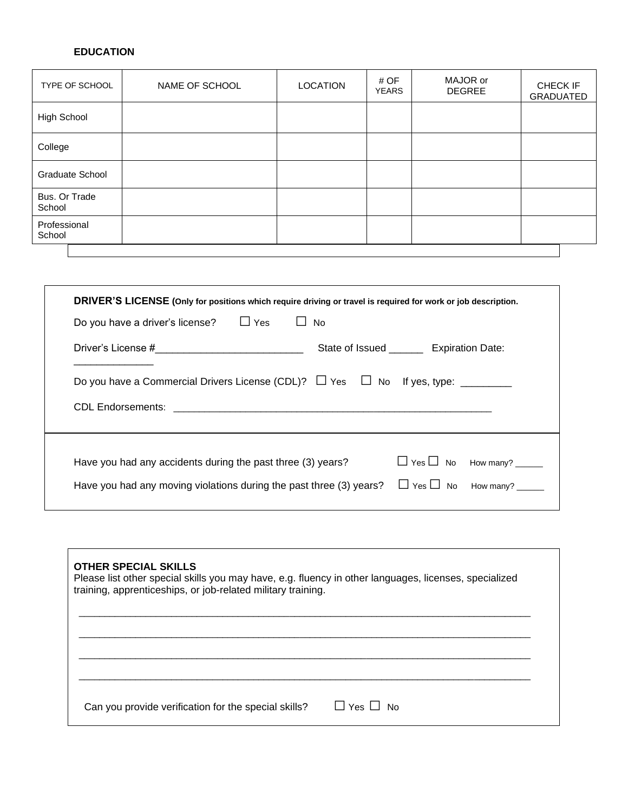# **EDUCATION**

| TYPE OF SCHOOL          | NAME OF SCHOOL | <b>LOCATION</b> | # OF<br><b>YEARS</b> | MAJOR or<br><b>DEGREE</b> | CHECK IF<br>GRADUATED |
|-------------------------|----------------|-----------------|----------------------|---------------------------|-----------------------|
| High School             |                |                 |                      |                           |                       |
| College                 |                |                 |                      |                           |                       |
| <b>Graduate School</b>  |                |                 |                      |                           |                       |
| Bus. Or Trade<br>School |                |                 |                      |                           |                       |
| Professional<br>School  |                |                 |                      |                           |                       |
|                         |                |                 |                      |                           |                       |

| DRIVER'S LICENSE (Only for positions which require driving or travel is required for work or job description. |                                             |  |
|---------------------------------------------------------------------------------------------------------------|---------------------------------------------|--|
| Do you have a driver's license? $\Box$ Yes<br>$\perp$                                                         | <b>No</b>                                   |  |
| Driver's License #_______________________________                                                             | State of Issued __________ Expiration Date: |  |
| Do you have a Commercial Drivers License (CDL)? $\Box$ Yes $\Box$ No If yes, type: ________                   |                                             |  |
|                                                                                                               |                                             |  |
|                                                                                                               |                                             |  |
| Have you had any accidents during the past three (3) years?                                                   | $\Box$ Yes $\Box$ No How many? _____        |  |
| Have you had any moving violations during the past three (3) years?                                           | $\Box$ Yes $\Box$ No How many? ______       |  |

| <b>OTHER SPECIAL SKILLS</b><br>Please list other special skills you may have, e.g. fluency in other languages, licenses, specialized<br>training, apprenticeships, or job-related military training. |  |  |
|------------------------------------------------------------------------------------------------------------------------------------------------------------------------------------------------------|--|--|
|                                                                                                                                                                                                      |  |  |
| II Yes II No<br>Can you provide verification for the special skills?                                                                                                                                 |  |  |

and the control of the control of the control of the control of the control of the control of the control of the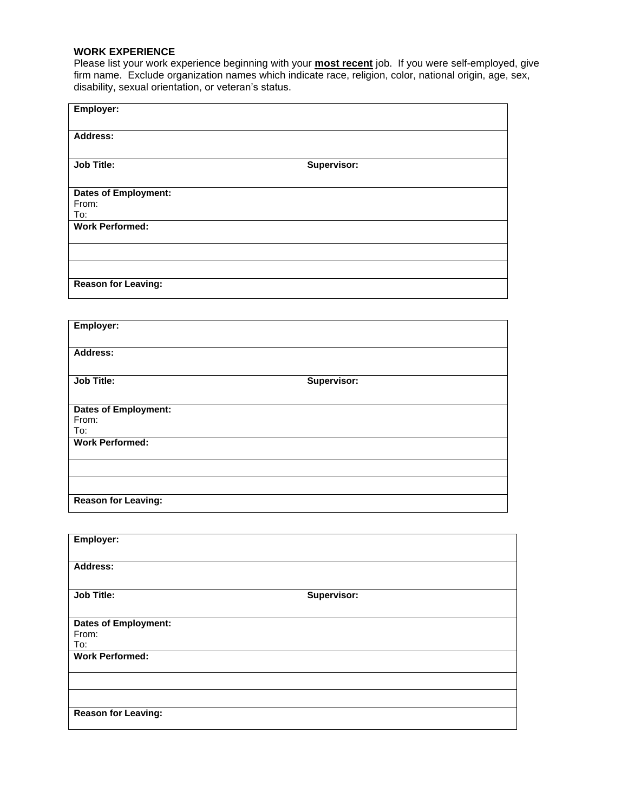## **WORK EXPERIENCE**

Please list your work experience beginning with your **most recent** job. If you were self-employed, give firm name. Exclude organization names which indicate race, religion, color, national origin, age, sex, disability, sexual orientation, or veteran's status.

| Employer:                   |             |
|-----------------------------|-------------|
| <b>Address:</b>             |             |
| <b>Job Title:</b>           | Supervisor: |
| <b>Dates of Employment:</b> |             |
| From:                       |             |
| To:                         |             |
| <b>Work Performed:</b>      |             |
|                             |             |
|                             |             |
| <b>Reason for Leaving:</b>  |             |

| Employer:                   |             |  |
|-----------------------------|-------------|--|
| <b>Address:</b>             |             |  |
| <b>Job Title:</b>           | Supervisor: |  |
| <b>Dates of Employment:</b> |             |  |
| From:                       |             |  |
| To:                         |             |  |
| <b>Work Performed:</b>      |             |  |
|                             |             |  |
|                             |             |  |
| <b>Reason for Leaving:</b>  |             |  |

| Employer:                   |             |
|-----------------------------|-------------|
| <b>Address:</b>             |             |
| <b>Job Title:</b>           | Supervisor: |
| <b>Dates of Employment:</b> |             |
| From:                       |             |
| To:                         |             |
| <b>Work Performed:</b>      |             |
|                             |             |
|                             |             |
| <b>Reason for Leaving:</b>  |             |